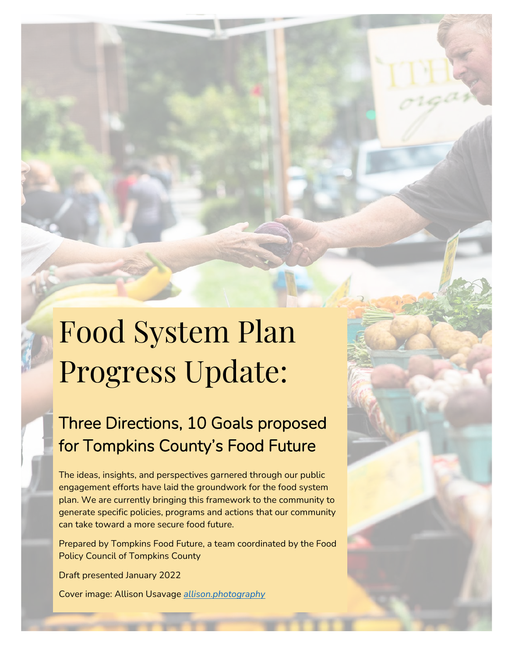# Food System Plan Progress Update:

# Three Directions, 10 Goals proposed for Tompkins County's Food Future

The ideas, insights, and perspectives garnered through our public engagement efforts have laid the groundwork for the food system plan. We are currently bringing this framework to the community to generate specific policies, programs and actions that our community can take toward a more secure food future.

Prepared by Tompkins Food Future, a team coordinated by the Food Policy Council of Tompkins County

Draft presented January 2022

Cover image: Allison Usavage *[allison.photography](https://allison.photography/)*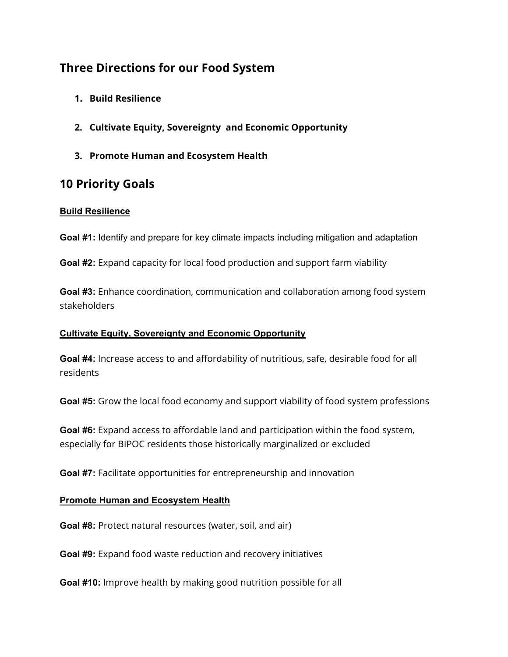## **Three Directions for our Food System**

- **1. Build Resilience**
- **2. Cultivate Equity, Sovereignty and Economic Opportunity**
- **3. Promote Human and Ecosystem Health**

### **10 Priority Goals**

#### **Build Resilience**

**Goal #1:** Identify and prepare for key climate impacts including mitigation and adaptation

**Goal #2:** Expand capacity for local food production and support farm viability

**Goal #3:** Enhance coordination, communication and collaboration among food system stakeholders

#### **Cultivate Equity, Sovereignty and Economic Opportunity**

**Goal #4:** Increase access to and affordability of nutritious, safe, desirable food for all residents

**Goal #5:** Grow the local food economy and support viability of food system professions

**Goal #6:** Expand access to affordable land and participation within the food system, especially for BIPOC residents those historically marginalized or excluded

**Goal #7:** Facilitate opportunities for entrepreneurship and innovation

#### **Promote Human and Ecosystem Health**

**Goal #8:** Protect natural resources (water, soil, and air)

**Goal #9:** Expand food waste reduction and recovery initiatives

**Goal #10:** Improve health by making good nutrition possible for all